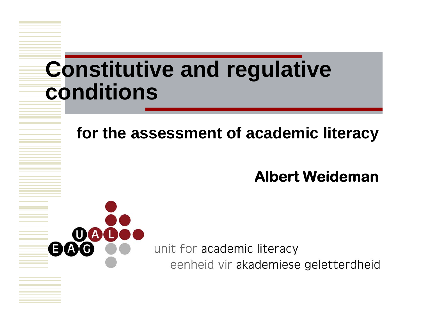## **Constitutive and regulative conditions**

#### **for the assessment of academic literacy**

#### **Albert Weideman**

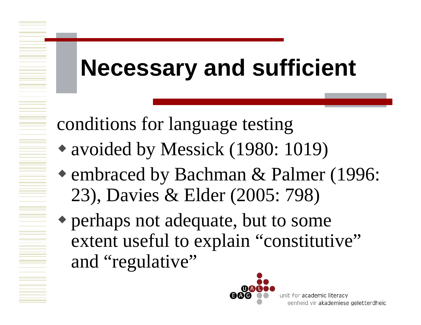# **Necessary and sufficient**

conditions for language testing

- avoided by Messick (1980: 1019)
- embraced by Bachman & Palmer (1996: 23), Davies & Elder (2005: 798)
- perhaps not adequate, but to some extent useful to explain "constitutive" and "regulative"

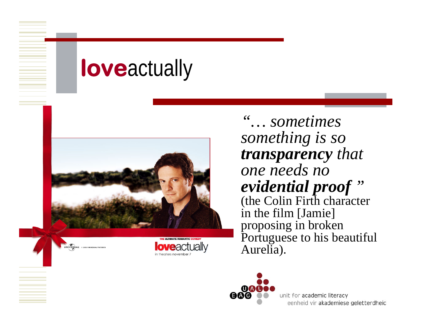# **love**actually





*"… sometimes something is so transparency that one needs no evidential proof "*  (the Colin Firth character in the film [Jamie] proposing in broken Portuguese to his beautiful Aurelia).

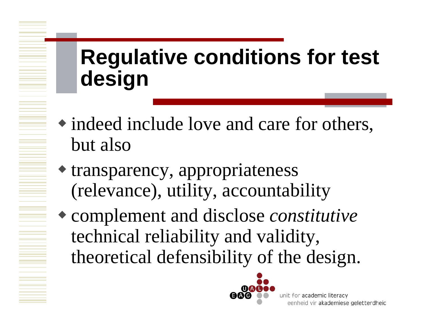## **Regulative conditions for test design**

- indeed include love and care for others, but also
- transparency, appropriateness (relevance), utility, accountability
- complement and disclose *constitutive* technical reliability and validity, theoretical defensibility of the design.

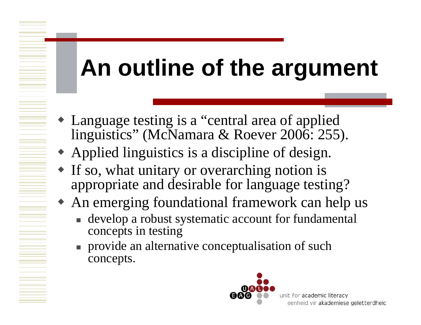# **An outline of the argument**

- Language testing is a "central area of applied linguistics" (McNamara & Roever 2006: 255).
- Applied linguistics is a discipline of design.
- If so, what unitary or overarching notion is appropriate and desirable for language testing?
- An emerging foundational framework can help us
	- **develop a robust systematic account for fundamental** concepts in testing
	- **provide an alternative conceptualisation of such** concepts.

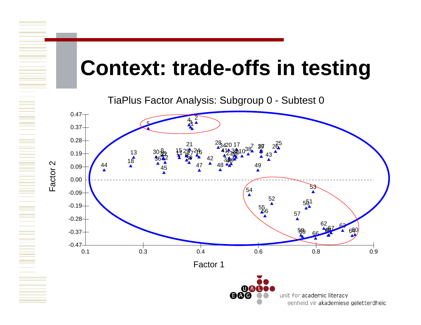## **Context: trade-offs in testing**

TiaPlus Factor Analysis: Subgroup 0 - Subtest 0

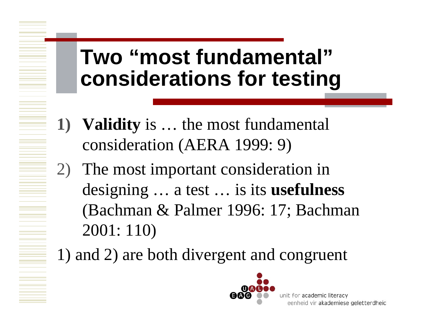## **Two "most fundamental" considerations for testing**

- **1) Validity** is … the most fundamental consideration (AERA 1999: 9)
- 2) The most important consideration in designing … a test … is its **usefulness**  (Bachman & Palmer 1996: 17; Bachman 2001: 110)

1) and 2) are both divergent and congruent

![](_page_6_Picture_4.jpeg)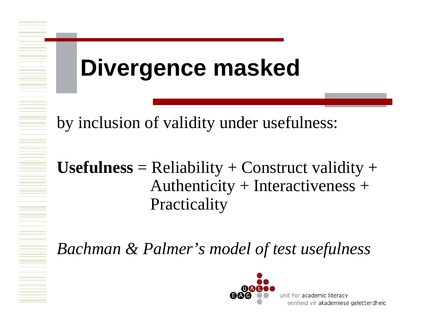# **Divergence masked**

by inclusion of validity under usefulness:

#### $$ Authenticity + Interactiveness + **Practicality**

*Bachman & Palmer's model of test usefulness*

![](_page_7_Picture_4.jpeg)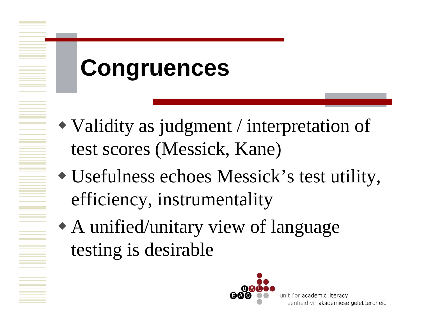# **Congruences**

- Validity as judgment / interpretation of test scores (Messick, Kane)
- Usefulness echoes Messick's test utility, efficiency, instrumentality
- A unified/unitary view of language testing is desirable

![](_page_8_Picture_4.jpeg)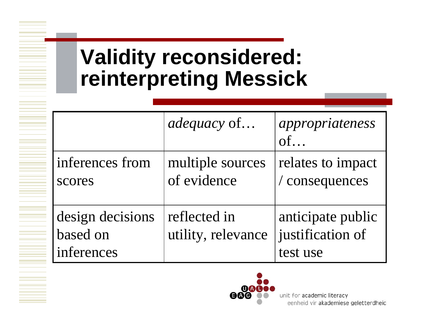## **Validity reconsidered: reinterpreting Messick**

|                                            | <i>adequacy</i> of                 | appropriateness<br>of                             |
|--------------------------------------------|------------------------------------|---------------------------------------------------|
| inferences from<br>scores                  | multiple sources<br>of evidence    | relates to impact<br>/ consequences               |
| design decisions<br>based on<br>inferences | reflected in<br>utility, relevance | anticipate public<br>justification of<br>test use |

![](_page_9_Picture_2.jpeg)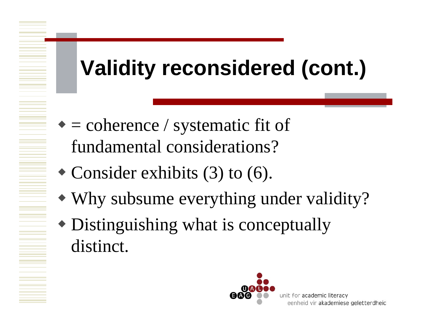# **Validity reconsidered (cont.)**

- $\bullet$  = coherence / systematic fit of fundamental considerations?
- Consider exhibits (3) to (6).
- Why subsume everything under validity?
- Distinguishing what is conceptually distinct.

![](_page_10_Picture_5.jpeg)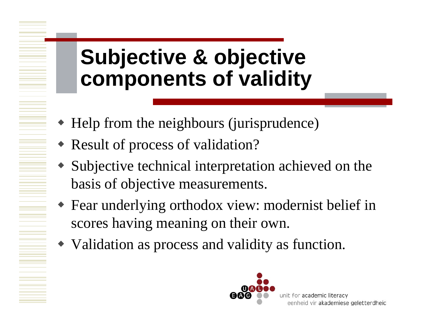## **Subjective & objective components of validity**

- Help from the neighbours (jurisprudence)
- Result of process of validation?
- ♦ Subjective technical interpretation achieved on the basis of objective measurements.
- $\blacklozenge$  Fear underlying orthodox view: modernist belief in scores having meaning on their own.
- Validation as process and validity as function.

![](_page_11_Picture_6.jpeg)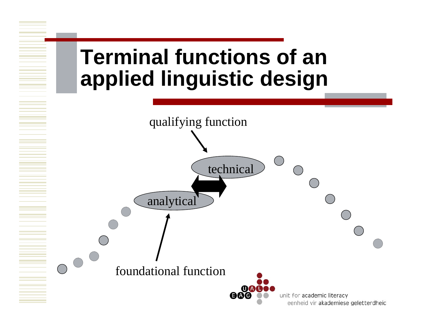## **Terminal functions of an applied linguistic design**

![](_page_12_Figure_1.jpeg)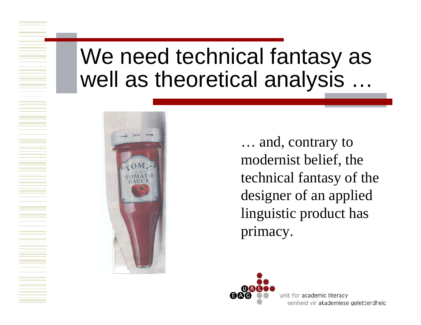### We need technical fantasy as well as theoretical analysis

![](_page_13_Picture_1.jpeg)

… and, contrary to modernist belief, the technical fantasy of the designer of an applied linguistic product has primacy.

![](_page_13_Picture_3.jpeg)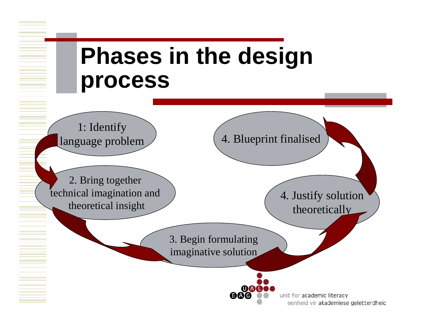![](_page_14_Figure_0.jpeg)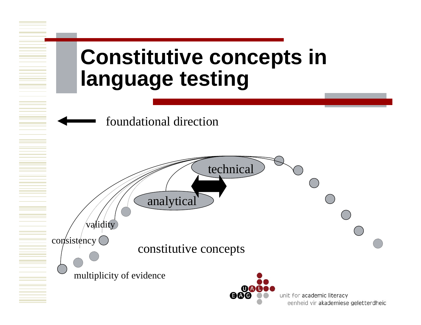![](_page_15_Figure_0.jpeg)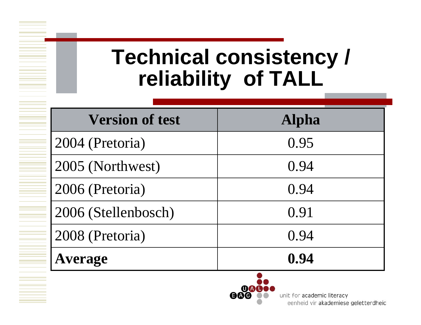## **Technical consistency / reliability of TALL**

| <b>Version of test</b> | <b>Alpha</b> |
|------------------------|--------------|
| 2004 (Pretoria)        | 0.95         |
| 2005 (Northwest)       | 0.94         |
| 2006 (Pretoria)        | 0.94         |
| 2006 (Stellenbosch)    | 0.91         |
| 2008 (Pretoria)        | 0.94         |
| <b>Average</b>         | 0.94         |
|                        |              |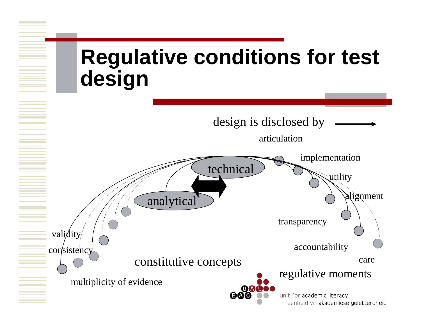![](_page_17_Figure_0.jpeg)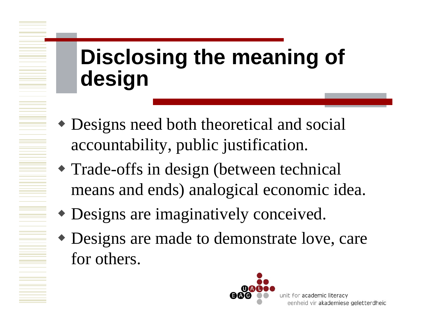# **Disclosing the meaning of design**

- Designs need both theoretical and social accountability, public justification.
- Trade-offs in design (between technical means and ends) analogical economic idea.
- Designs are imaginatively conceived.
- Designs are made to demonstrate love, care for others.

![](_page_18_Picture_5.jpeg)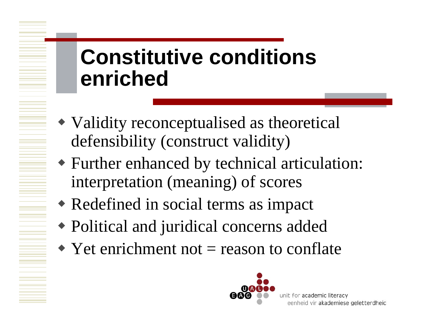## **Constitutive conditions enriched**

- Validity reconceptualised as theoretical defensibility (construct validity)
- Further enhanced by technical articulation: interpretation (meaning) of scores
- Redefined in social terms as impact
- Political and juridical concerns added
- $\blacktriangleright$  Yet enrichment not = reason to conflate

![](_page_19_Picture_6.jpeg)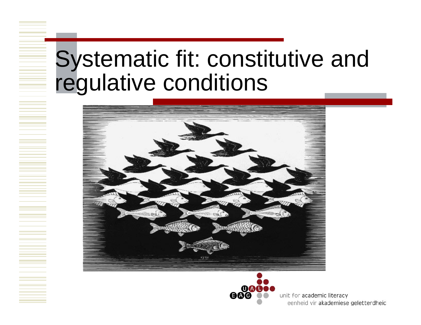# Systematic fit: constitutive and regulative conditions

![](_page_20_Picture_1.jpeg)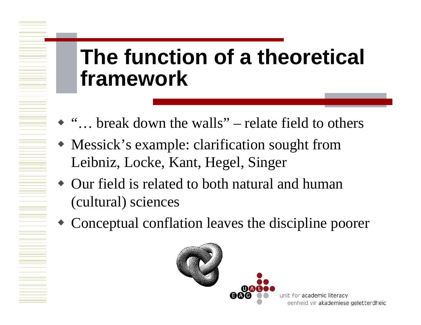## **The function of a theoretical framework**

- "... break down the walls" relate field to others
- Messick's example: clarification sought from Leibniz, Locke, Kant, Hegel, Singer
- Our field is related to both natural and human (cultural) sciences
- Conceptual conflation leaves the discipline poorer

![](_page_21_Picture_5.jpeg)